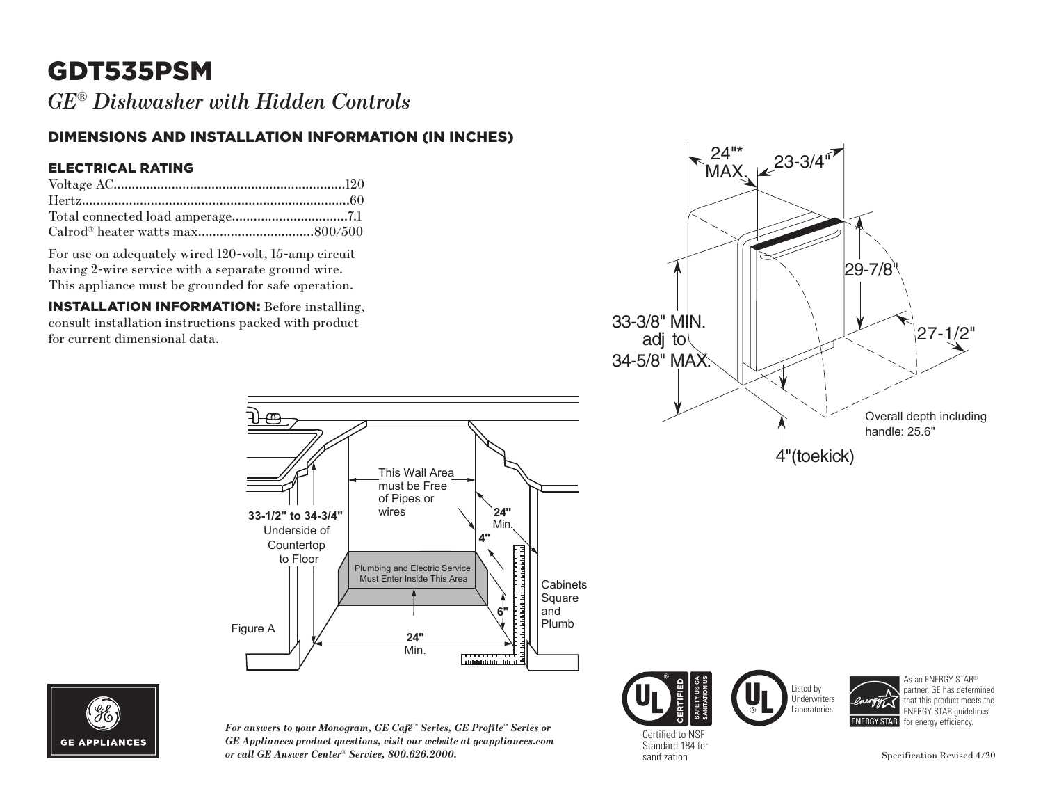# GDT535PSM

*GE® Dishwasher with Hidden Controls*

### DIMENSIONS AND INSTALLATION INFORMATION (IN INCHES)

Underside of Countertop to Floor

Figure A

#### ELECTRICAL RATING

For use on adequately wired 120-volt, 15-amp circuit having 2-wire service with a separate ground wire. This appliance must be grounded for safe operation.

INSTALLATION INFORMATION: Before installing, consult installation instructions packed with product





*For answers to your Monogram, GE Café™ Series, GE Profile™ Series or GE Appliances product questions, visit our website at geappliances.com*